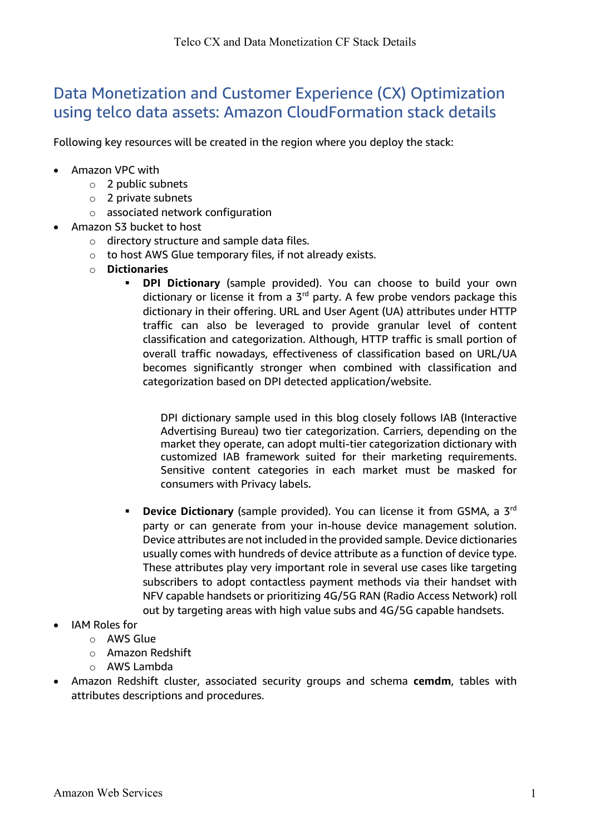## Data Monetization and Customer Experience (CX) Optimization using telco data assets: Amazon CloudFormation stack details

Following key resources will be created in the region where you deploy the stack:

- Amazon VPC with
	- o 2 public subnets
	- o 2 private subnets
	- o associated network configuration
- Amazon S3 bucket to host
	- o directory structure and sample data files.
	- o to host AWS Glue temporary files, if not already exists.
	- o **Dictionaries**
		- § **DPI Dictionary** (sample provided). You can choose to build your own dictionary or license it from a  $3<sup>rd</sup>$  party. A few probe vendors package this dictionary in their offering. URL and User Agent (UA) attributes under HTTP traffic can also be leveraged to provide granular level of content classification and categorization. Although, HTTP traffic is small portion of overall traffic nowadays, effectiveness of classification based on URL/UA becomes significantly stronger when combined with classification and categorization based on DPI detected application/website.

DPI dictionary sample used in this blog closely follows IAB (Interactive Advertising Bureau) two tier categorization. Carriers, depending on the market they operate, can adopt multi-tier categorization dictionary with customized IAB framework suited for their marketing requirements. Sensitive content categories in each market must be masked for consumers with Privacy labels.

- **Device Dictionary** (sample provided). You can license it from GSMA, a 3<sup>rd</sup> party or can generate from your in-house device management solution. Device attributes are not included in the provided sample. Device dictionaries usually comes with hundreds of device attribute as a function of device type. These attributes play very important role in several use cases like targeting subscribers to adopt contactless payment methods via their handset with NFV capable handsets or prioritizing 4G/5G RAN (Radio Access Network) roll out by targeting areas with high value subs and 4G/5G capable handsets.
- IAM Roles for
	- $\circ$  AWS Glue
	- o Amazon Redshift
	- o AWS Lambda
- Amazon Redshift cluster, associated security groups and schema **cemdm**, tables with attributes descriptions and procedures.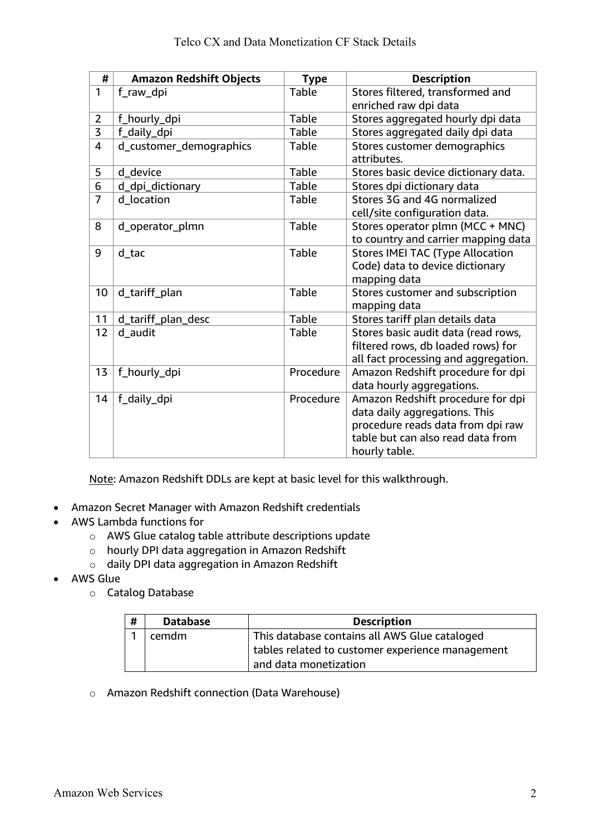| #              | <b>Amazon Redshift Objects</b> | <b>Type</b>  | <b>Description</b>                      |
|----------------|--------------------------------|--------------|-----------------------------------------|
| 1              | f_raw_dpi                      | <b>Table</b> | Stores filtered, transformed and        |
|                |                                |              | enriched raw dpi data                   |
| $\overline{2}$ | f_hourly_dpi                   | <b>Table</b> | Stores aggregated hourly dpi data       |
| $\overline{3}$ | f_daily_dpi                    | <b>Table</b> | Stores aggregated daily dpi data        |
| 4              | d_customer_demographics        | <b>Table</b> | Stores customer demographics            |
|                |                                |              | attributes.                             |
| 5              | d_device                       | <b>Table</b> | Stores basic device dictionary data.    |
| 6              | d_dpi_dictionary               | <b>Table</b> | Stores dpi dictionary data              |
| 7              | d_location                     | <b>Table</b> | Stores 3G and 4G normalized             |
|                |                                |              | cell/site configuration data.           |
| 8              | d_operator_plmn                | Table        | Stores operator plmn (MCC + MNC)        |
|                |                                |              | to country and carrier mapping data     |
| 9              | d tac                          | <b>Table</b> | <b>Stores IMEI TAC (Type Allocation</b> |
|                |                                |              | Code) data to device dictionary         |
|                |                                |              | mapping data                            |
| 10             | d_tariff_plan                  | <b>Table</b> | Stores customer and subscription        |
|                |                                |              | mapping data                            |
| 11             | d_tariff_plan_desc             | Table        | Stores tariff plan details data         |
| 12             | d_audit                        | <b>Table</b> | Stores basic audit data (read rows,     |
|                |                                |              | filtered rows, db loaded rows) for      |
|                |                                |              | all fact processing and aggregation.    |
| 13             | f_hourly_dpi                   | Procedure    | Amazon Redshift procedure for dpi       |
|                |                                |              | data hourly aggregations.               |
| 14             | f_daily_dpi                    | Procedure    | Amazon Redshift procedure for dpi       |
|                |                                |              | data daily aggregations. This           |
|                |                                |              | procedure reads data from dpi raw       |
|                |                                |              | table but can also read data from       |
|                |                                |              | hourly table.                           |

Note: Amazon Redshift DDLs are kept at basic level for this walkthrough.

- Amazon Secret Manager with Amazon Redshift credentials
- AWS Lambda functions for
	- o AWS Glue catalog table attribute descriptions update
	- o hourly DPI data aggregation in Amazon Redshift
	- o daily DPI data aggregation in Amazon Redshift
- AWS Glue
	- o Catalog Database

| # | <b>Database</b> | <b>Description</b>                                                        |  |  |
|---|-----------------|---------------------------------------------------------------------------|--|--|
|   | cemdm           | This database contains all AWS Glue cataloged                             |  |  |
|   |                 | tables related to customer experience management<br>and data monetization |  |  |

o Amazon Redshift connection (Data Warehouse)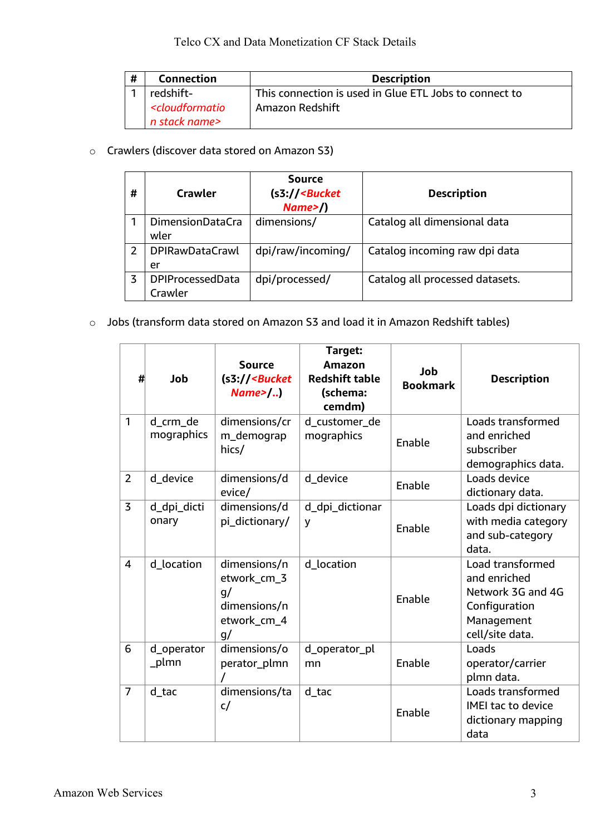| # | <b>Connection</b>                                               | <b>Description</b>                                     |  |  |
|---|-----------------------------------------------------------------|--------------------------------------------------------|--|--|
|   | redshift-                                                       | This connection is used in Glue ETL Jobs to connect to |  |  |
|   | <cloudformatio< th=""><th>Amazon Redshift</th></cloudformatio<> | Amazon Redshift                                        |  |  |
|   | n stack name>                                                   |                                                        |  |  |

o Crawlers (discover data stored on Amazon S3)

| # | Crawler                            | <b>Source</b><br>$(s3)/$ - Bucket<br>Name> | <b>Description</b>              |
|---|------------------------------------|--------------------------------------------|---------------------------------|
|   | <b>DimensionDataCra</b><br>wler    | dimensions/                                | Catalog all dimensional data    |
| 2 | <b>DPIRawDataCrawl</b><br>er       | dpi/raw/incoming/                          | Catalog incoming raw dpi data   |
| 3 | <b>DPIProcessedData</b><br>Crawler | dpi/processed/                             | Catalog all processed datasets. |

o Jobs (transform data stored on Amazon S3 and load it in Amazon Redshift tables)

| #              | Job                    | <b>Source</b><br>$(s3)/$ - Bucket<br>$Name$ | Target:<br><b>Amazon</b><br><b>Redshift table</b><br>(schema:<br>cemdm) | Job<br><b>Bookmark</b> | <b>Description</b>                          |
|----------------|------------------------|---------------------------------------------|-------------------------------------------------------------------------|------------------------|---------------------------------------------|
| $\mathbf{1}$   | d_crm_de<br>mographics | dimensions/cr                               | d_customer_de                                                           |                        | Loads transformed                           |
|                |                        | m_demograp<br>hics/                         | mographics                                                              | Enable                 | and enriched<br>subscriber                  |
|                |                        |                                             |                                                                         |                        | demographics data.                          |
| $\overline{2}$ | d device               | dimensions/d                                | d device                                                                | Enable                 | Loads device                                |
| $\overline{3}$ |                        | evice/                                      |                                                                         |                        | dictionary data.                            |
|                | d_dpi_dicti<br>onary   | dimensions/d<br>pi_dictionary/              | d_dpi_dictionar<br>y                                                    |                        | Loads dpi dictionary<br>with media category |
|                |                        |                                             |                                                                         | Enable                 | and sub-category                            |
|                |                        |                                             |                                                                         |                        | data.                                       |
| 4              | d_location             | dimensions/n                                | d_location                                                              |                        | Load transformed                            |
|                |                        | etwork_cm_3                                 |                                                                         |                        | and enriched                                |
|                |                        | q/<br>dimensions/n                          |                                                                         | Enable                 | Network 3G and 4G<br>Configuration          |
|                |                        | etwork_cm_4                                 |                                                                         |                        | Management                                  |
|                |                        | q/                                          |                                                                         |                        | cell/site data.                             |
| 6              | d_operator             | dimensions/o                                | d_operator_pl                                                           |                        | Loads                                       |
|                | _plmn                  | perator_plmn                                | mn                                                                      | Enable                 | operator/carrier                            |
|                |                        |                                             |                                                                         |                        | plmn data.                                  |
| $\overline{7}$ | $d$ _tac               | dimensions/ta                               | $d$ _tac                                                                |                        | Loads transformed                           |
|                |                        | c/                                          |                                                                         | Enable                 | <b>IMEI tac to device</b>                   |
|                |                        |                                             |                                                                         |                        | dictionary mapping<br>data                  |
|                |                        |                                             |                                                                         |                        |                                             |